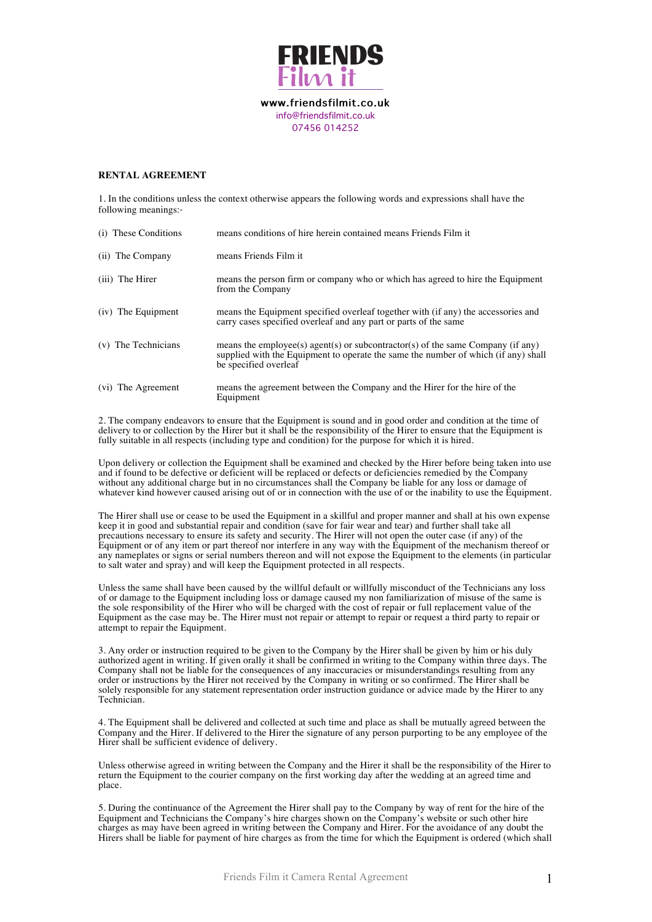

**www.friendsfilmit.co.uk** info@friendsfilmit.co.uk 07456 014252

## **RENTAL AGREEMENT**

1. In the conditions unless the context otherwise appears the following words and expressions shall have the following meanings:‐

| (i) These Conditions | means conditions of hire herein contained means Friends Film it                                                                                                                                |
|----------------------|------------------------------------------------------------------------------------------------------------------------------------------------------------------------------------------------|
| (ii) The Company     | means Friends Film it                                                                                                                                                                          |
| (iii) The Hirer      | means the person firm or company who or which has agreed to hire the Equipment<br>from the Company                                                                                             |
| (iv) The Equipment   | means the Equipment specified overleaf together with (if any) the accessories and<br>carry cases specified overleaf and any part or parts of the same                                          |
| (v) The Technicians  | means the employee(s) agent(s) or subcontractor(s) of the same Company (if any)<br>supplied with the Equipment to operate the same the number of which (if any) shall<br>be specified overleaf |
| (vi) The Agreement   | means the agreement between the Company and the Hirer for the hire of the<br>Equipment                                                                                                         |

2. The company endeavors to ensure that the Equipment is sound and in good order and condition at the time of delivery to or collection by the Hirer but it shall be the responsibility of the Hirer to ensure that the Equipment is fully suitable in all respects (including type and condition) for the purpose for which it is hired.

Upon delivery or collection the Equipment shall be examined and checked by the Hirer before being taken into use and if found to be defective or deficient will be replaced or defects or deficiencies remedied by the Company without any additional charge but in no circumstances shall the Company be liable for any loss or damage of whatever kind however caused arising out of or in connection with the use of or the inability to use the Equipment.

The Hirer shall use or cease to be used the Equipment in a skillful and proper manner and shall at his own expense keep it in good and substantial repair and condition (save for fair wear and tear) and further shall take all precautions necessary to ensure its safety and security. The Hirer will not open the outer case (if any) of the Equipment or of any item or part thereof nor interfere in any way with the Equipment of the mechanism thereof or any nameplates or signs or serial numbers thereon and will not expose the Equipment to the elements (in particular to salt water and spray) and will keep the Equipment protected in all respects.

Unless the same shall have been caused by the willful default or willfully misconduct of the Technicians any loss of or damage to the Equipment including loss or damage caused my non familiarization of misuse of the same is the sole responsibility of the Hirer who will be charged with the cost of repair or full replacement value of the Equipment as the case may be. The Hirer must not repair or attempt to repair or request a third party to repair or attempt to repair the Equipment.

3. Any order or instruction required to be given to the Company by the Hirer shall be given by him or his duly authorized agent in writing. If given orally it shall be confirmed in writing to the Company within three days. The Company shall not be liable for the consequences of any inaccuracies or misunderstandings resulting from any order or instructions by the Hirer not received by the Company in writing or so confirmed. The Hirer shall be solely responsible for any statement representation order instruction guidance or advice made by the Hirer to any Technician.

4. The Equipment shall be delivered and collected at such time and place as shall be mutually agreed between the Company and the Hirer. If delivered to the Hirer the signature of any person purporting to be any employee of the Hirer shall be sufficient evidence of delivery.

Unless otherwise agreed in writing between the Company and the Hirer it shall be the responsibility of the Hirer to return the Equipment to the courier company on the first working day after the wedding at an agreed time and place.

5. During the continuance of the Agreement the Hirer shall pay to the Company by way of rent for the hire of the Equipment and Technicians the Company's hire charges shown on the Company's website or such other hire charges as may have been agreed in writing between the Company and Hirer. For the avoidance of any doubt the Hirers shall be liable for payment of hire charges as from the time for which the Equipment is ordered (which shall